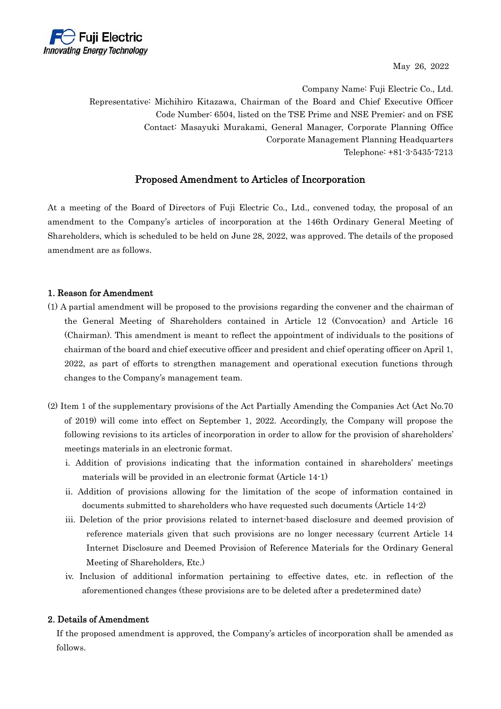

May 26, 2022

Company Name: Fuji Electric Co., Ltd. Representative: Michihiro Kitazawa, Chairman of the Board and Chief Executive Officer Code Number: 6504, listed on the TSE Prime and NSE Premier; and on FSE Contact: Masayuki Murakami, General Manager, Corporate Planning Office Corporate Management Planning Headquarters Telephone: +81-3-5435-7213

## Proposed Amendment to Articles of Incorporation

At a meeting of the Board of Directors of Fuji Electric Co., Ltd., convened today, the proposal of an amendment to the Company's articles of incorporation at the 146th Ordinary General Meeting of Shareholders, which is scheduled to be held on June 28, 2022, was approved. The details of the proposed amendment are as follows.

## 1. Reason for Amendment

- (1) A partial amendment will be proposed to the provisions regarding the convener and the chairman of the General Meeting of Shareholders contained in Article 12 (Convocation) and Article 16 (Chairman). This amendment is meant to reflect the appointment of individuals to the positions of chairman of the board and chief executive officer and president and chief operating officer on April 1, 2022, as part of efforts to strengthen management and operational execution functions through changes to the Company's management team.
- (2) Item 1 of the supplementary provisions of the Act Partially Amending the Companies Act (Act No.70 of 2019) will come into effect on September 1, 2022. Accordingly, the Company will propose the following revisions to its articles of incorporation in order to allow for the provision of shareholders' meetings materials in an electronic format.
	- i. Addition of provisions indicating that the information contained in shareholders' meetings materials will be provided in an electronic format (Article 14-1)
	- ii. Addition of provisions allowing for the limitation of the scope of information contained in documents submitted to shareholders who have requested such documents (Article 14-2)
	- iii. Deletion of the prior provisions related to internet-based disclosure and deemed provision of reference materials given that such provisions are no longer necessary (current Article 14 Internet Disclosure and Deemed Provision of Reference Materials for the Ordinary General Meeting of Shareholders, Etc.)
	- iv. Inclusion of additional information pertaining to effective dates, etc. in reflection of the aforementioned changes (these provisions are to be deleted after a predetermined date)

## 2. Details of Amendment

If the proposed amendment is approved, the Company's articles of incorporation shall be amended as follows.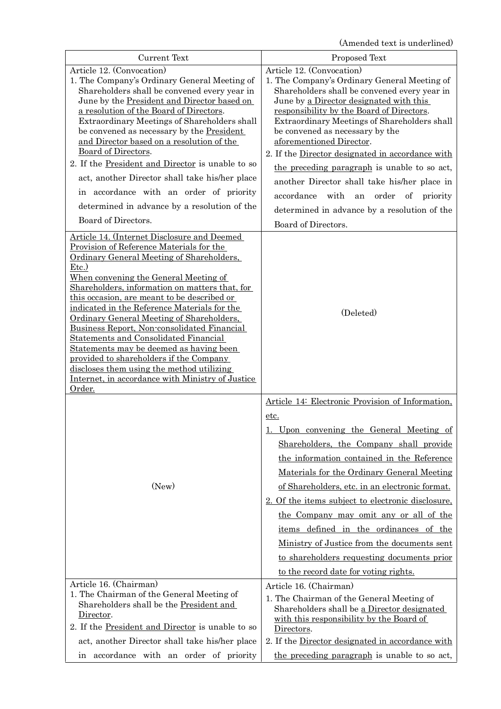(Amended text is underlined)

| <b>Current Text</b>                                                                                                                                                                                                                                                                                                                                                                                                                                                                                                                                                                                                                                                                 | Proposed Text                                                                                                                                                                                                                                                                                                                                                                                                                                                                                                                                                                                                      |
|-------------------------------------------------------------------------------------------------------------------------------------------------------------------------------------------------------------------------------------------------------------------------------------------------------------------------------------------------------------------------------------------------------------------------------------------------------------------------------------------------------------------------------------------------------------------------------------------------------------------------------------------------------------------------------------|--------------------------------------------------------------------------------------------------------------------------------------------------------------------------------------------------------------------------------------------------------------------------------------------------------------------------------------------------------------------------------------------------------------------------------------------------------------------------------------------------------------------------------------------------------------------------------------------------------------------|
| Article 12. (Convocation)<br>1. The Company's Ordinary General Meeting of<br>Shareholders shall be convened every year in<br>June by the President and Director based on<br>a resolution of the Board of Directors.<br>Extraordinary Meetings of Shareholders shall<br>be convened as necessary by the President<br>and Director based on a resolution of the<br>Board of Directors.<br>2. If the President and Director is unable to so<br>act, another Director shall take his/her place<br>in accordance with an order of priority<br>determined in advance by a resolution of the<br>Board of Directors.                                                                        | Article 12. (Convocation)<br>1. The Company's Ordinary General Meeting of<br>Shareholders shall be convened every year in<br>June by a Director designated with this<br>responsibility by the Board of Directors.<br>Extraordinary Meetings of Shareholders shall<br>be convened as necessary by the<br>aforementioned Director.<br>2. If the Director designated in accordance with<br>the preceding paragraph is unable to so act,<br>another Director shall take his/her place in<br>accordance<br>with<br>order<br>an<br>of<br>priority<br>determined in advance by a resolution of the<br>Board of Directors. |
| Article 14. (Internet Disclosure and Deemed<br>Provision of Reference Materials for the<br>Ordinary General Meeting of Shareholders,<br>Etc.<br>When convening the General Meeting of<br>Shareholders, information on matters that, for<br>this occasion, are meant to be described or<br>indicated in the Reference Materials for the<br>Ordinary General Meeting of Shareholders,<br>Business Report, Non-consolidated Financial<br><b>Statements and Consolidated Financial</b><br>Statements may be deemed as having been<br>provided to shareholders if the Company<br>discloses them using the method utilizing<br>Internet, in accordance with Ministry of Justice<br>Order. | (Deleted)                                                                                                                                                                                                                                                                                                                                                                                                                                                                                                                                                                                                          |
| (New)                                                                                                                                                                                                                                                                                                                                                                                                                                                                                                                                                                                                                                                                               | Article 14: Electronic Provision of Information,<br>etc.<br>Upon convening the General Meeting of<br>Shareholders, the Company shall provide<br>the information contained in the Reference<br>Materials for the Ordinary General Meeting<br>of Shareholders, etc. in an electronic format.<br>2. Of the items subject to electronic disclosure.<br>the Company may omit any or all of the<br>items defined in the ordinances of the<br>Ministry of Justice from the documents sent<br>to shareholders requesting documents prior<br>to the record date for voting rights.                                          |
| Article 16. (Chairman)<br>1. The Chairman of the General Meeting of<br>Shareholders shall be the President and<br>Director.<br>2. If the President and Director is unable to so<br>act, another Director shall take his/her place<br>in accordance with an order of priority                                                                                                                                                                                                                                                                                                                                                                                                        | Article 16. (Chairman)<br>1. The Chairman of the General Meeting of<br>Shareholders shall be a Director designated<br>with this responsibility by the Board of<br>Directors.<br>2. If the Director designated in accordance with<br>the preceding paragraph is unable to so act,                                                                                                                                                                                                                                                                                                                                   |